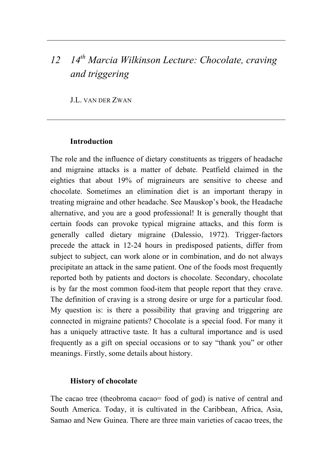# *12 14th Marcia Wilkinson Lecture: Chocolate, craving and triggering*

J.L. VAN DER ZWAN

#### **Introduction**

The role and the influence of dietary constituents as triggers of headache and migraine attacks is a matter of debate. Peatfield claimed in the eighties that about 19% of migraineurs are sensitive to cheese and chocolate. Sometimes an elimination diet is an important therapy in treating migraine and other headache. See Mauskop's book, the Headache alternative, and you are a good professional! It is generally thought that certain foods can provoke typical migraine attacks, and this form is generally called dietary migraine (Dalessio, 1972). Trigger-factors precede the attack in 12-24 hours in predisposed patients, differ from subject to subject, can work alone or in combination, and do not always precipitate an attack in the same patient. One of the foods most frequently reported both by patients and doctors is chocolate. Secondary, chocolate is by far the most common food-item that people report that they crave. The definition of craving is a strong desire or urge for a particular food. My question is: is there a possibility that graving and triggering are connected in migraine patients? Chocolate is a special food. For many it has a uniquely attractive taste. It has a cultural importance and is used frequently as a gift on special occasions or to say "thank you" or other meanings. Firstly, some details about history.

#### **History of chocolate**

The cacao tree (theobroma cacao= food of god) is native of central and South America. Today, it is cultivated in the Caribbean, Africa, Asia, Samao and New Guinea. There are three main varieties of cacao trees, the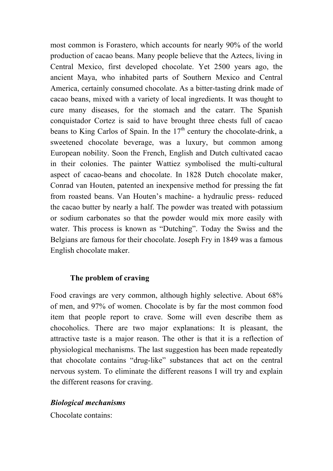most common is Forastero, which accounts for nearly 90% of the world production of cacao beans. Many people believe that the Aztecs, living in Central Mexico, first developed chocolate. Yet 2500 years ago, the ancient Maya, who inhabited parts of Southern Mexico and Central America, certainly consumed chocolate. As a bitter-tasting drink made of cacao beans, mixed with a variety of local ingredients. It was thought to cure many diseases, for the stomach and the catarr. The Spanish conquistador Cortez is said to have brought three chests full of cacao beans to King Carlos of Spain. In the  $17<sup>th</sup>$  century the chocolate-drink, a sweetened chocolate beverage, was a luxury, but common among European nobility. Soon the French, English and Dutch cultivated cacao in their colonies. The painter Wattiez symbolised the multi-cultural aspect of cacao-beans and chocolate. In 1828 Dutch chocolate maker, Conrad van Houten, patented an inexpensive method for pressing the fat from roasted beans. Van Houten's machine- a hydraulic press- reduced the cacao butter by nearly a half. The powder was treated with potassium or sodium carbonates so that the powder would mix more easily with water. This process is known as "Dutching". Today the Swiss and the Belgians are famous for their chocolate. Joseph Fry in 1849 was a famous English chocolate maker.

## **The problem of craving**

Food cravings are very common, although highly selective. About 68% of men, and 97% of women. Chocolate is by far the most common food item that people report to crave. Some will even describe them as chocoholics. There are two major explanations: It is pleasant, the attractive taste is a major reason. The other is that it is a reflection of physiological mechanisms. The last suggestion has been made repeatedly that chocolate contains "drug-like" substances that act on the central nervous system. To eliminate the different reasons I will try and explain the different reasons for craving.

# *Biological mechanisms*

Chocolate contains: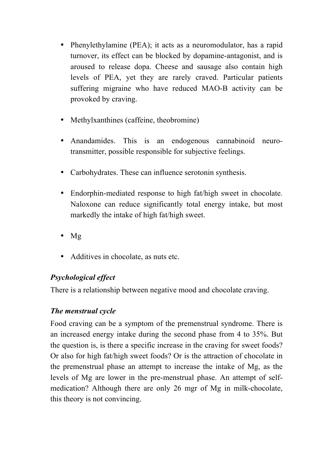- Phenylethylamine (PEA); it acts as a neuromodulator, has a rapid turnover, its effect can be blocked by dopamine-antagonist, and is aroused to release dopa. Cheese and sausage also contain high levels of PEA, yet they are rarely craved. Particular patients suffering migraine who have reduced MAO-B activity can be provoked by craving.
- Methylxanthines (caffeine, theobromine)
- Anandamides. This is an endogenous cannabinoid neurotransmitter, possible responsible for subjective feelings.
- Carbohydrates. These can influence serotonin synthesis.
- Endorphin-mediated response to high fat/high sweet in chocolate. Naloxone can reduce significantly total energy intake, but most markedly the intake of high fat/high sweet.
- Mg
- Additives in chocolate, as nuts etc.

# *Psychological effect*

There is a relationship between negative mood and chocolate craving.

# *The menstrual cycle*

Food craving can be a symptom of the premenstrual syndrome. There is an increased energy intake during the second phase from 4 to 35%. But the question is, is there a specific increase in the craving for sweet foods? Or also for high fat/high sweet foods? Or is the attraction of chocolate in the premenstrual phase an attempt to increase the intake of Mg, as the levels of Mg are lower in the pre-menstrual phase. An attempt of selfmedication? Although there are only 26 mgr of Mg in milk-chocolate, this theory is not convincing.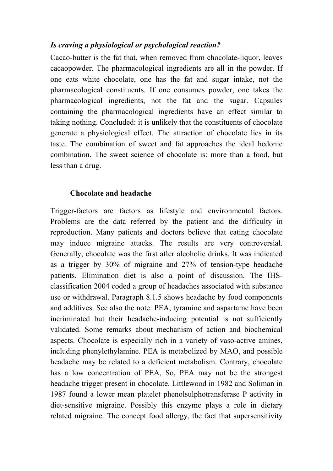## *Is craving a physiological or psychological reaction?*

Cacao-butter is the fat that, when removed from chocolate-liquor, leaves cacaopowder. The pharmacological ingredients are all in the powder. If one eats white chocolate, one has the fat and sugar intake, not the pharmacological constituents. If one consumes powder, one takes the pharmacological ingredients, not the fat and the sugar. Capsules containing the pharmacological ingredients have an effect similar to taking nothing. Concluded: it is unlikely that the constituents of chocolate generate a physiological effect. The attraction of chocolate lies in its taste. The combination of sweet and fat approaches the ideal hedonic combination. The sweet science of chocolate is: more than a food, but less than a drug.

### **Chocolate and headache**

Trigger-factors are factors as lifestyle and environmental factors. Problems are the data referred by the patient and the difficulty in reproduction. Many patients and doctors believe that eating chocolate may induce migraine attacks. The results are very controversial. Generally, chocolate was the first after alcoholic drinks. It was indicated as a trigger by 30% of migraine and 27% of tension-type headache patients. Elimination diet is also a point of discussion. The IHSclassification 2004 coded a group of headaches associated with substance use or withdrawal. Paragraph 8.1.5 shows headache by food components and additives. See also the note: PEA, tyramine and aspartame have been incriminated but their headache-inducing potential is not sufficiently validated. Some remarks about mechanism of action and biochemical aspects. Chocolate is especially rich in a variety of vaso-active amines, including phenylethylamine. PEA is metabolized by MAO, and possible headache may be related to a deficient metabolism. Contrary, chocolate has a low concentration of PEA, So, PEA may not be the strongest headache trigger present in chocolate. Littlewood in 1982 and Soliman in 1987 found a lower mean platelet phenolsulphotransferase P activity in diet-sensitive migraine. Possibly this enzyme plays a role in dietary related migraine. The concept food allergy, the fact that supersensitivity